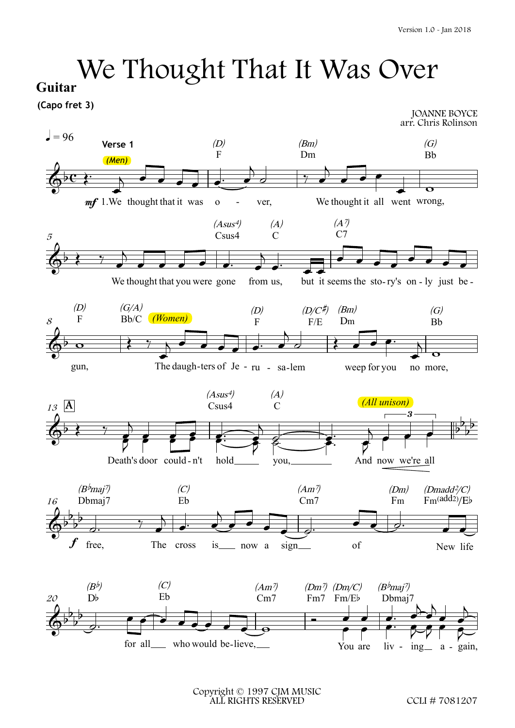## $We Tinterapo free 3)
$$
J = 96
$$$  $\mathop{\mathrm{er}}\nolimits^{1.0 - \text{Jan } 2018}$ We Thought That It Was Over Guitar (Capo fret 3) We Thought That It Was Over

**Guitar**

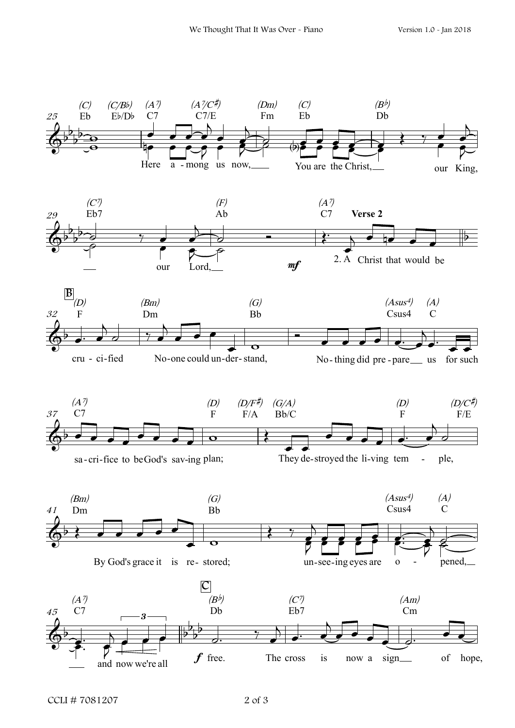